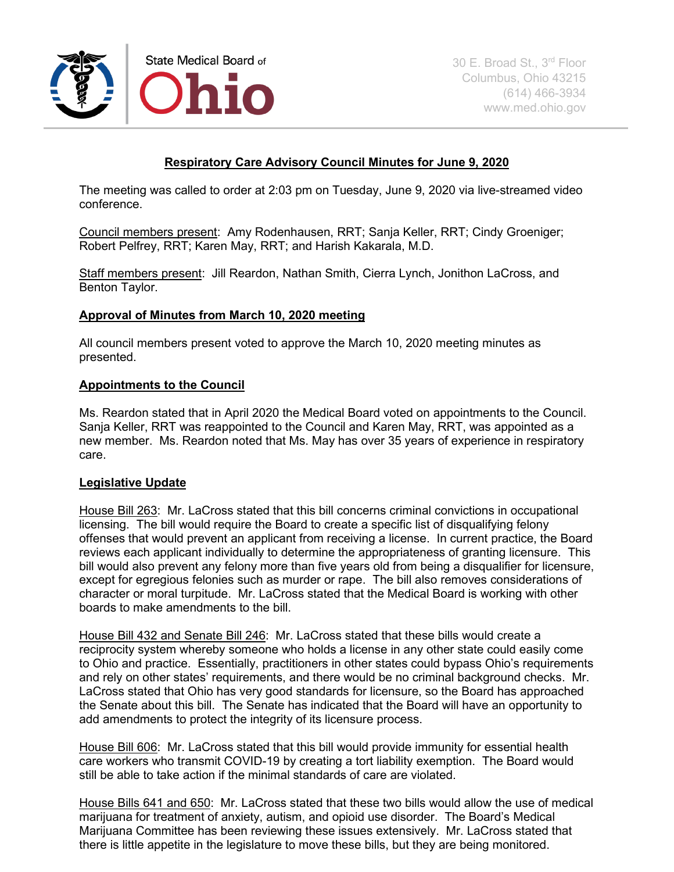

# **Respiratory Care Advisory Council Minutes for June 9, 2020**

The meeting was called to order at 2:03 pm on Tuesday, June 9, 2020 via live-streamed video conference.

Council members present: Amy Rodenhausen, RRT; Sanja Keller, RRT; Cindy Groeniger; Robert Pelfrey, RRT; Karen May, RRT; and Harish Kakarala, M.D.

Staff members present: Jill Reardon, Nathan Smith, Cierra Lynch, Jonithon LaCross, and Benton Taylor.

# **Approval of Minutes from March 10, 2020 meeting**

All council members present voted to approve the March 10, 2020 meeting minutes as presented.

# **Appointments to the Council**

Ms. Reardon stated that in April 2020 the Medical Board voted on appointments to the Council. Sanja Keller, RRT was reappointed to the Council and Karen May, RRT, was appointed as a new member. Ms. Reardon noted that Ms. May has over 35 years of experience in respiratory care.

#### **Legislative Update**

House Bill 263: Mr. LaCross stated that this bill concerns criminal convictions in occupational licensing. The bill would require the Board to create a specific list of disqualifying felony offenses that would prevent an applicant from receiving a license. In current practice, the Board reviews each applicant individually to determine the appropriateness of granting licensure. This bill would also prevent any felony more than five years old from being a disqualifier for licensure, except for egregious felonies such as murder or rape. The bill also removes considerations of character or moral turpitude. Mr. LaCross stated that the Medical Board is working with other boards to make amendments to the bill.

House Bill 432 and Senate Bill 246: Mr. LaCross stated that these bills would create a reciprocity system whereby someone who holds a license in any other state could easily come to Ohio and practice. Essentially, practitioners in other states could bypass Ohio's requirements and rely on other states' requirements, and there would be no criminal background checks. Mr. LaCross stated that Ohio has very good standards for licensure, so the Board has approached the Senate about this bill. The Senate has indicated that the Board will have an opportunity to add amendments to protect the integrity of its licensure process.

House Bill 606: Mr. LaCross stated that this bill would provide immunity for essential health care workers who transmit COVID-19 by creating a tort liability exemption. The Board would still be able to take action if the minimal standards of care are violated.

House Bills 641 and 650: Mr. LaCross stated that these two bills would allow the use of medical marijuana for treatment of anxiety, autism, and opioid use disorder. The Board's Medical Marijuana Committee has been reviewing these issues extensively. Mr. LaCross stated that there is little appetite in the legislature to move these bills, but they are being monitored.